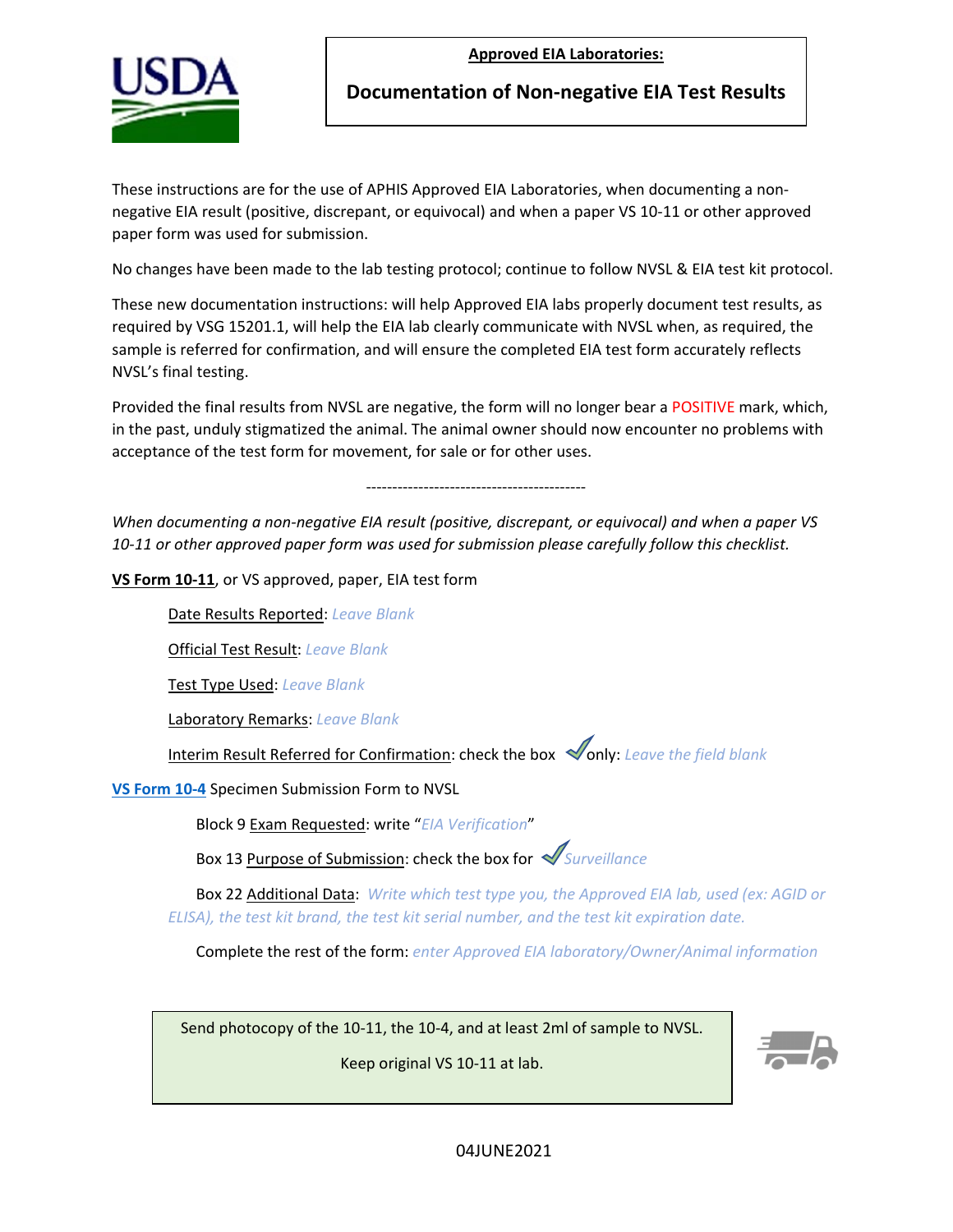**Approved EIA Laboratories:**



**Documentation of Non-negative EIA Test Results**

These instructions are for the use of APHIS Approved EIA Laboratories, when documenting a nonnegative EIA result (positive, discrepant, or equivocal) and when a paper VS 10-11 or other approved paper form was used for submission.

No changes have been made to the lab testing protocol; continue to follow NVSL & EIA test kit protocol.

These new documentation instructions: will help Approved EIA labs properly document test results, as required by VSG 15201.1, will help the EIA lab clearly communicate with NVSL when, as required, the sample is referred for confirmation, and will ensure the completed EIA test form accurately reflects NVSL's final testing.

Provided the final results from NVSL are negative, the form will no longer bear a POSITIVE mark, which, in the past, unduly stigmatized the animal. The animal owner should now encounter no problems with acceptance of the test form for movement, for sale or for other uses.

------------------------------------------

*When documenting a non-negative EIA result (positive, discrepant, or equivocal) and when a paper VS 10-11 or other approved paper form was used for submission please carefully follow this checklist.*

**VS Form 10-11**, or VS approved, paper, EIA test form

Date Results Reported: *Leave Blank*

Official Test Result: *Leave Blank* 

Test Type Used: *Leave Blank*

Laboratory Remarks: *Leave Blank*

Interim Result Referred for Confirmation: check the box **only:** Leave the field blank

**[VS Form 10-4](https://www.aphis.usda.gov/library/forms/pdf/VS_Form10_4.pdf)** Specimen Submission Form to NVSL

Block 9 Exam Requested: write "*EIA Verification*"

Box 13 Purpose of Submission: check the box for *Surveillance*

Box 22 Additional Data: *Write which test type you, the Approved EIA lab, used (ex: AGID or ELISA), the test kit brand, the test kit serial number, and the test kit expiration date.*

Complete the rest of the form: *enter Approved EIA laboratory/Owner/Animal information* 

Send photocopy of the 10-11, the 10-4, and at least 2ml of sample to NVSL.

Keep original VS 10-11 at lab.



04IUNF2021